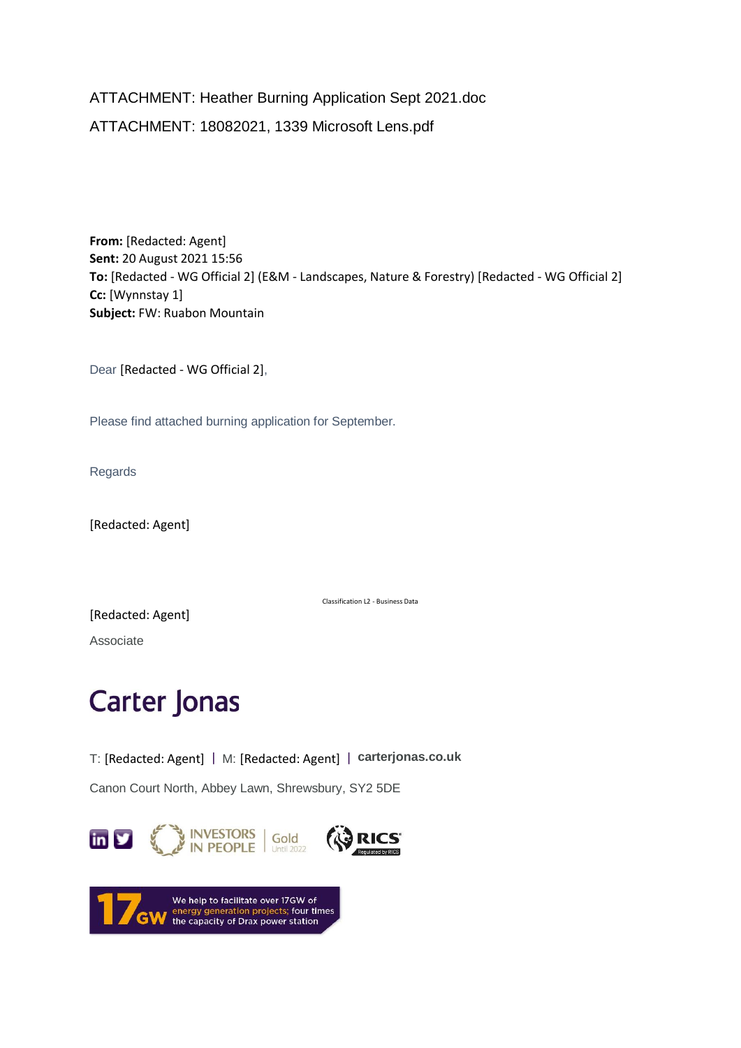ATTACHMENT: Heather Burning Application Sept 2021.doc ATTACHMENT: 18082021, 1339 Microsoft Lens.pdf

**From:** [Redacted: Agent] **Sent:** 20 August 2021 15:56 **To:** [Redacted - WG Official 2] (E&M - Landscapes, Nature & Forestry) [Redacted - WG Official 2] **Cc:** [Wynnstay 1] **Subject:** FW: Ruabon Mountain

Dear [Redacted - WG Official 2],

Please find attached burning application for September.

Regards

[Redacted: Agent]

Classification L2 - Business Data

[Redacted: Agent]

Associate

## **Carter Jonas**

T: [Redacted: Agent] | M: [Redacted: Agent] | **[carterjonas.co.uk](https://eur01.safelinks.protection.outlook.com/?url=http%3A%2F%2Fcarterjonas.co.uk%2F&data=04%7C01%7Cgareth.davies3%40gov.wales%7C7c2beaaf3bbd4c8364fc08d963eab069%7Ca2cc36c592804ae78887d06dab89216b%7C0%7C0%7C637650682784245112%7CUnknown%7CTWFpbGZsb3d8eyJWIjoiMC4wLjAwMDAiLCJQIjoiV2luMzIiLCJBTiI6Ik1haWwiLCJXVCI6Mn0%3D%7C1000&sdata=Hf9eeh6aSTLOSSYcm%2Bnp8tUGZJxYidGfXsf3C%2BZRCts%3D&reserved=0)**

Canon Court North, Abbey Lawn, Shrewsbury, SY2 5DE